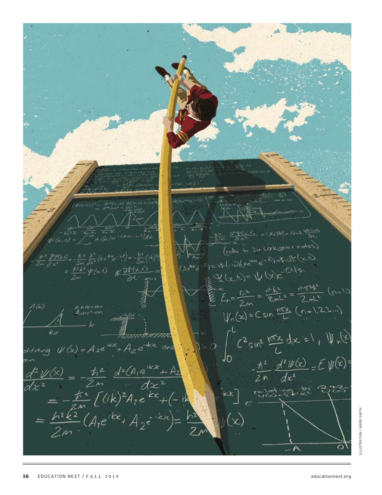$+106292(20)$  $\mathcal{Q}_{z} = \frac{\hbar^2}{2m} \frac{\partial^2}{\partial x^2} (h e^{ikx} e^{-i\omega t}) = -\frac{\hbar^2}{2m} (h e)^2 (1 - \frac{\hbar^2}{2m} e^{-i\omega t}) = \frac{\hbar^2}{2m} \mathcal{L}^2 (h e^{-i\omega t})$ Washer Entry String  $\frac{1}{2}$  x (x, t) = 1/ (x)  $\frac{1}{2}$  x (x) = 1/ (x) x = 1/2 x x = 1/2 x x = 1/2 x x = 1/2 x x = 1/2 x x = 1/2 x x = 1/2 x x = 1/2 x = 1/2 x = 1/2 x = 1/2 x = 1/2 x = 1/2 x = 1/2 x = 1/2 x = 1/2 x = 1/2 x = 1/2 x = 1/2 x  $\sum_{k=-\infty}^{\infty} f_k = \frac{f_k^2}{2m} = \frac{f_k^2}{2m} = \frac{f_k^2}{2m} = \frac{f_k^2}{2m} = \frac{f_k^2}{2m}$  $\begin{array}{c}\n\text{Area} \\
\text{Area} \\
\text{Area} \\
\text{Area} \\
\text{Area} \\
\text{Area} \\
\text{Area} \\
\text{Area} \\
\text{Area} \\
\text{Area} \\
\text{Area} \\
\text{Area} \\
\text{Area} \\
\text{Area} \\
\text{Area} \\
\text{Area} \\
\text{Area} \\
\text{Area} \\
\text{Area} \\
\text{Area} \\
\text{Area} \\
\text{Area} \\
\text{Area} \\
\text{Area} \\
\text{Area} \\
\text{Area} \\
\text{Area} \\
\text{Area} \\
\text{Area} \\
\text{Area} \\
\text{Area} \\
\text{Area} \\
\text{Area} \\
\text{Area} \\
\text{Area} \\
\text$  $\psi_n(x) = C \sin \frac{\pi x}{L} (n-1.2.3...)$  $A(\mu)$  $y_0 = 0$   $\int_0^L C^2 sin^2 \frac{m x}{L} dx = 1$ ,  $\int_0^L \sqrt{x^2} dx$ <br>  $= 0$   $\int_0^L C^2 sin^2 \frac{m x}{L} dx = 1$ ,  $\int_0^L \sqrt{x^2} dx$ stituting  $\psi(x) = A_1 e^{ikx} + A_2 e^{-ikx}$  $-\frac{\hbar^2}{2n}\frac{d^2\psi(x)}{dx^2}=E\psi(x)=$  $\frac{d^2\psi(s)}{dx^2} = -\frac{\hbar^2}{2m} \frac{d^2(A_1e^{ikx} + A_2)}{dx^2}$ <br>=  $-\frac{\hbar^2}{2m} [(ik)^2 A_1e^{ikx} + (-ik)^2 A_2e^{ikx} + (-ik)^2 A_1e^{ikx} + (-ik)^2 A_2e^{ikx} + (-ik)^2 A_2e^{ikx} + (-ik)^2 A_2e^{ikx} + (-ik)^2 A_2e^{ikx}$ **1925-27-28-253**  $y(x)$ O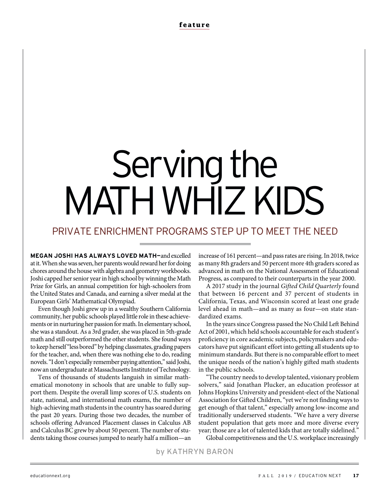# Serving the MATH WHIZ KIDS

# PRIVATE ENRICHMENT PROGRAMS STEP UP TO MEET THE NEED

**MEGAN JOSHI HAS ALWAYS LOVED MATH—**and excelled at it. When she was seven, her parents would reward her for doing chores around the house with algebra and geometry workbooks. Joshi capped her senior year in high school by winning the Math Prize for Girls, an annual competition for high-schoolers from the United States and Canada, and earning a silver medal at the European Girls' Mathematical Olympiad.

Even though Joshi grew up in a wealthy Southern California community, her public schools played little role in these achievements or in nurturing her passion for math. In elementary school, she was a standout. As a 3rd grader, she was placed in 5th-grade math and still outperformed the other students. She found ways to keep herself "less bored" by helping classmates, grading papers for the teacher, and, when there was nothing else to do, reading novels. "I don't especially remember paying attention," said Joshi, now an undergraduate at Massachusetts Institute of Technology.

Tens of thousands of students languish in similar mathematical monotony in schools that are unable to fully support them. Despite the overall limp scores of U.S. students on state, national, and international math exams, the number of high-achieving math students in the country has soared during the past 20 years. During those two decades, the number of schools offering Advanced Placement classes in Calculus AB and Calculus BC grew by about 50 percent. The number of students taking those courses jumped to nearly half a million—an

increase of 161 percent—and pass rates are rising. In 2018, twice as many 8th graders and 50 percent more 4th graders scored as advanced in math on the National Assessment of Educational Progress, as compared to their counterparts in the year 2000.

A 2017 study in the journal *Gifted Child Quarterly* found that between 16 percent and 37 percent of students in California, Texas, and Wisconsin scored at least one grade level ahead in math—and as many as four—on state standardized exams.

In the years since Congress passed the No Child Left Behind Act of 2001, which held schools accountable for each student's proficiency in core academic subjects, policymakers and educators have put significant effort into getting all students up to minimum standards. But there is no comparable effort to meet the unique needs of the nation's highly gifted math students in the public schools.

"The country needs to develop talented, visionary problem solvers," said Jonathan Plucker, an education professor at Johns Hopkins University and president-elect of the National Association for Gifted Children, "yet we're not finding ways to get enough of that talent," especially among low-income and traditionally underserved students. "We have a very diverse student population that gets more and more diverse every year; those are a lot of talented kids that are totally sidelined."

Global competitiveness and the U.S. workplace increasingly

by KATHRYN BARON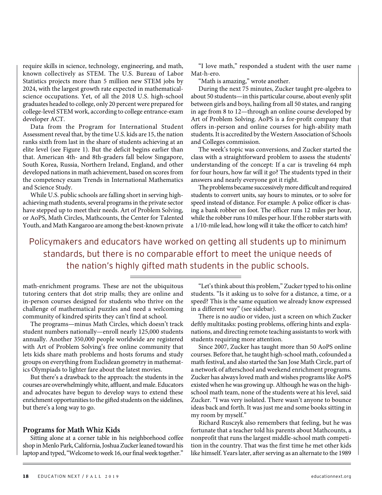require skills in science, technology, engineering, and math, known collectively as STEM. The U.S. Bureau of Labor Statistics projects more than 5 million new STEM jobs by 2024, with the largest growth rate expected in mathematicalscience occupations. Yet, of all the 2018 U.S. high-school graduates headed to college, only 20 percent were prepared for college-level STEM work, according to college entrance-exam developer ACT.

Data from the Program for International Student Assessment reveal that, by the time U.S. kids are 15, the nation ranks sixth from last in the share of students achieving at an elite level (see Figure 1). But the deficit begins earlier than that. American 4th- and 8th-graders fall below Singapore, South Korea, Russia, Northern Ireland, England, and other developed nations in math achievement, based on scores from the competency exam Trends in International Mathematics and Science Study.

While U.S. public schools are falling short in serving highachieving math students, several programs in the private sector have stepped up to meet their needs. Art of Problem Solving, or AoPS, Math Circles, Mathcounts, the Center for Talented Youth, and Math Kangaroo are among the best-known private

"I love math," responded a student with the user name Mat-h-ero.

"Math is amazing," wrote another.

During the next 75 minutes, Zucker taught pre-algebra to about 50 students—in this particular course, about evenly split between girls and boys, hailing from all 50 states, and ranging in age from 8 to 12—through an online course developed by Art of Problem Solving. AoPS is a for-profit company that offers in-person and online courses for high-ability math students. It is accredited by the Western Association of Schools and Colleges commission.

The week's topic was conversions, and Zucker started the class with a straightforward problem to assess the students' understanding of the concept: If a car is traveling 64 mph for four hours, how far will it go? The students typed in their answers and nearly everyone got it right.

The problems became successively more difficult and required students to convert units, say hours to minutes, or to solve for speed instead of distance. For example: A police officer is chasing a bank robber on foot. The officer runs 12 miles per hour, while the robber runs 10 miles per hour. If the robber starts with a 1/10-mile lead, how long will it take the officer to catch him?

Policymakers and educators have worked on getting all students up to minimum standards, but there is no comparable effort to meet the unique needs of the nation's highly gifted math students in the public schools.

math-enrichment programs. These are not the ubiquitous tutoring centers that dot strip malls; they are online and in-person courses designed for students who thrive on the challenge of mathematical puzzles and need a welcoming community of kindred spirits they can't find at school.

The programs—minus Math Circles, which doesn't track student numbers nationally—enroll nearly 125,000 students annually. Another 350,000 people worldwide are registered with Art of Problem Solving's free online community that lets kids share math problems and hosts forums and study groups on everything from Euclidean geometry in mathematics Olympiads to lighter fare about the latest movies.

But there's a drawback to the approach: the students in the courses are overwhelmingly white, affluent, and male. Educators and advocates have begun to develop ways to extend these enrichment opportunities to the gifted students on the sidelines, but there's a long way to go.

#### **Programs for Math Whiz Kids**

Sitting alone at a corner table in his neighborhood coffee shop in Menlo Park, California, Joshua Zucker leaned toward his laptop and typed, "Welcome to week 16, our final week together."

"Let's think about this problem," Zucker typed to his online students. "Is it asking us to solve for a distance, a time, or a speed? This is the same equation we already know expressed in a different way" (see sidebar).

There is no audio or video, just a screen on which Zucker deftly multitasks: posting problems, offering hints and explanations, and directing remote teaching assistants to work with students requiring more attention.

Since 2007, Zucker has taught more than 50 AoPS online courses. Before that, he taught high-school math, cofounded a math festival, and also started the San Jose Math Circle, part of a network of afterschool and weekend enrichment programs. Zucker has always loved math and wishes programs like AoPS existed when he was growing up. Although he was on the highschool math team, none of the students were at his level, said Zucker. "I was very isolated. There wasn't anyone to bounce ideas back and forth. It was just me and some books sitting in my room by myself."

Richard Rusczyk also remembers that feeling, but he was fortunate that a teacher told his parents about Mathcounts, a nonprofit that runs the largest middle-school math competition in the country. That was the first time he met other kids like himself. Years later, after serving as an alternate to the 1989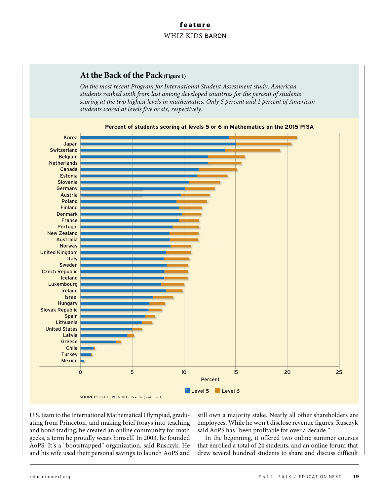# **At the Back of the Pack (Figure 1)**

*On the most recent Program for International Student Assessment study, American students ranked sixth from last among developed countries for the percent of students scoring at the two highest levels in mathematics. Only 5 percent and 1 percent of American students scored at levels five or six, respectively.* 



U.S. team to the International Mathematical Olympiad, graduating from Princeton, and making brief forays into teaching and bond trading, he created an online community for math geeks, a term he proudly wears himself. In 2003, he founded AoPS. It's a "bootstrapped" organization, said Rusczyk. He and his wife used their personal savings to launch AoPS and

still own a majority stake. Nearly all other shareholders are employees. While he won't disclose revenue figures, Rusczyk said AoPS has "been profitable for over a decade."

In the beginning, it offered two online summer courses that enrolled a total of 24 students, and an online forum that drew several hundred students to share and discuss difficult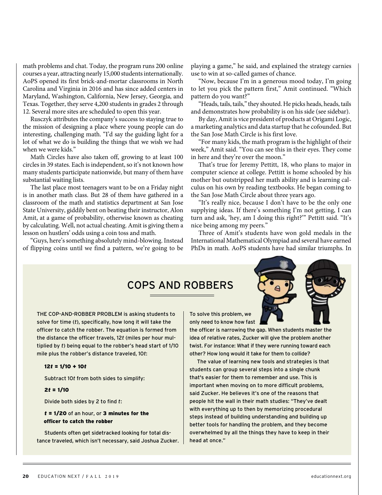math problems and chat. Today, the program runs 200 online courses a year, attracting nearly 15,000 students internationally. AoPS opened its first brick-and-mortar classrooms in North Carolina and Virginia in 2016 and has since added centers in Maryland, Washington, California, New Jersey, Georgia, and Texas. Together, they serve 4,200 students in grades 2 through 12. Several more sites are scheduled to open this year.

Rusczyk attributes the company's success to staying true to the mission of designing a place where young people can do interesting, challenging math. "I'd say the guiding light for a lot of what we do is building the things that we wish we had when we were kids."

Math Circles have also taken off, growing to at least 100 circles in 39 states. Each is independent, so it's not known how many students participate nationwide, but many of them have substantial waiting lists.

The last place most teenagers want to be on a Friday night is in another math class. But 28 of them have gathered in a classroom of the math and statistics department at San Jose State University, giddily bent on beating their instructor, Alon Amit, at a game of probability, otherwise known as cheating by calculating. Well, not actual cheating. Amit is giving them a lesson on hustlers' odds using a coin toss and math.

"Guys, here's something absolutely mind-blowing. Instead of flipping coins until we find a pattern, we're going to be

playing a game," he said, and explained the strategy carnies use to win at so-called games of chance.

"Now, because I'm in a generous mood today, I'm going to let you pick the pattern first," Amit continued. "Which pattern do you want?"

"Heads, tails, tails," they shouted. He picks heads, heads, tails and demonstrates how probability is on his side (see sidebar).

By day, Amit is vice president of products at Origami Logic, a marketing analytics and data startup that he cofounded. But the San Jose Math Circle is his first love.

"For many kids, the math program is the highlight of their week," Amit said. "You can see this in their eyes. They come in here and they're over the moon."

That's true for Jeremy Pettitt, 18, who plans to major in computer science at college. Pettitt is home schooled by his mother but outstripped her math ability and is learning calculus on his own by reading textbooks. He began coming to the San Jose Math Circle about three years ago.

"It's really nice, because I don't have to be the only one supplying ideas. If there's something I'm not getting, I can turn and ask, 'hey, am I doing this right?'" Pettitt said. "It's nice being among my peers."

Three of Amit's students have won gold medals in the International Mathematical Olympiad and several have earned PhDs in math. AoPS students have had similar triumphs. In

# COPS AND ROBBERS

THE COP-AND-ROBBER PROBLEM is asking students to solve for time (*t*), specifically, how long it will take the officer to catch the robber. The equation is formed from the distance the officer travels, 12*t* (miles per hour multiplied by *t*) being equal to the robber's head start of 1/10 mile plus the robber's distance traveled, 10*t*:

#### 12*t* = 1/10 + 10*t*

Subtract 10*t* from both sides to simplify:

#### 2*t* = 1/10

Divide both sides by 2 to find *t*:

#### *t* = 1/20 of an hour, or 3 minutes for the officer to catch the robber

Students often get sidetracked looking for total distance traveled, which isn't necessary, said Joshua Zucker. To solve this problem, we only need to know how fast

the officer is narrowing the gap. When students master the idea of relative rates, Zucker will give the problem another twist. For instance: What if they were running toward each other? How long would it take for them to collide?

The value of learning new tools and strategies is that students can group several steps into a single chunk that's easier for them to remember and use. This is important when moving on to more difficult problems, said Zucker. He believes it's one of the reasons that people hit the wall in their math studies: "They've dealt with everything up to then by memorizing procedural steps instead of building understanding and building up better tools for handling the problem, and they become overwhelmed by all the things they have to keep in their head at once."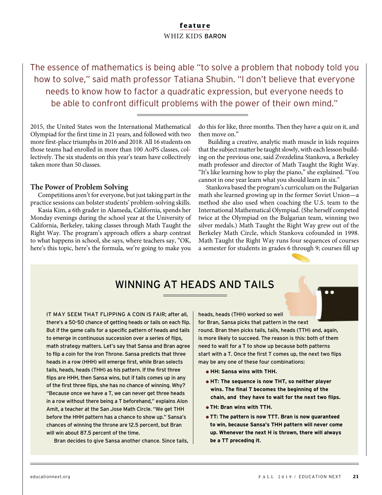The essence of mathematics is being able "to solve a problem that nobody told you how to solve," said math professor Tatiana Shubin. "I don't believe that everyone needs to know how to factor a quadratic expression, but everyone needs to be able to confront difficult problems with the power of their own mind."

2015, the United States won the International Mathematical Olympiad for the first time in 21 years, and followed with two more first-place triumphs in 2016 and 2018. All 16 students on those teams had enrolled in more than 100 AoPS classes, collectively. The six students on this year's team have collectively taken more than 50 classes.

#### **The Power of Problem Solving**

Competitions aren't for everyone, but just taking part in the practice sessions can bolster students' problem-solving skills.

Kasia Kim, a 6th grader in Alameda, California, spends her Monday evenings during the school year at the University of California, Berkeley, taking classes through Math Taught the Right Way. The program's approach offers a sharp contrast to what happens in school, she says, where teachers say, "OK, here's this topic, here's the formula, we're going to make you

do this for like, three months. Then they have a quiz on it, and then move on."

 Building a creative, analytic math muscle in kids requires that the subject matter be taught slowly, with each lesson building on the previous one, said Zvezdelina Stankova, a Berkeley math professor and director of Math Taught the Right Way. "It's like learning how to play the piano," she explained. "You cannot in one year learn what you should learn in six."

Stankova based the program's curriculum on the Bulgarian math she learned growing up in the former Soviet Union—a method she also used when coaching the U.S. team to the International Mathematical Olympiad. (She herself competed twice at the Olympiad on the Bulgarian team, winning two silver medals.) Math Taught the Right Way grew out of the Berkeley Math Circle, which Stankova cofounded in 1998. Math Taught the Right Way runs four sequences of courses a semester for students in grades 6 through 9; courses fill up

# WINNING AT HEADS AND TAILS

IT MAY SEEM THAT FLIPPING A COIN IS FAIR; after all, there's a 50-50 chance of getting heads or tails on each flip. But if the game calls for a specific pattern of heads and tails to emerge in continuous succession over a series of flips, math strategy matters. Let's say that Sansa and Bran agree to flip a coin for the Iron Throne. Sansa predicts that three heads in a row (HHH) will emerge first, while Bran selects tails, heads, heads (THH) as his pattern. If the first three flips are HHH, then Sansa wins, but if tails comes up in any of the first three flips, she has no chance of winning. Why? "Because once we have a T, we can never get three heads in a row without there being a T beforehand," explains Alon Amit, a teacher at the San Jose Math Circle. "We get THH before the HHH pattern has a chance to show up." Sansa's chances of winning the throne are 12.5 percent, but Bran will win about 87.5 percent of the time.

Bran decides to give Sansa another chance. Since tails,

heads, heads (THH) worked so well for Bran, Sansa picks that pattern in the next round. Bran then picks tails, tails, heads (TTH) and, again, is more likely to succeed. The reason is this: both of them need to wait for a T to show up because both patterns

start with a T. Once the first T comes up, the next two flips may be any one of these four combinations:

- **HH: Sansa wins with THH.**
- **HT: The sequence is now THT, so neither player wins. The final T becomes the beginning of the chain, and they have to wait for the next two flips.**
- **TH: Bran wins with TTH.**
- **TT: The pattern is now TTT. Bran is now guaranteed to win, because Sansa's THH pattern will never come up. Whenever the next H is thrown, there will always be a TT preceding it.**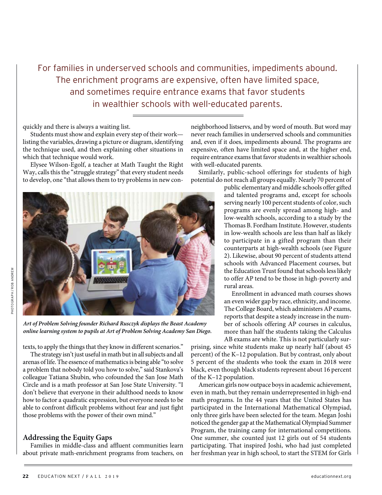For families in underserved schools and communities, impediments abound. The enrichment programs are expensive, often have limited space, and sometimes require entrance exams that favor students in wealthier schools with well-educated parents.

quickly and there is always a waiting list.

Students must show and explain every step of their work listing the variables, drawing a picture or diagram, identifying the technique used, and then explaining other situations in which that technique would work.

Elysee Wilson-Egolf, a teacher at Math Taught the Right Way, calls this the "struggle strategy" that every student needs to develop, one "that allows them to try problems in new con-



*Art of Problem Solving founder Richard Rusczyk displays the Beast Academy online learning system to pupils at Art of Problem Solving Academy San Diego.* 

texts, to apply the things that they know in different scenarios."

The strategy isn't just useful in math but in all subjects and all arenas of life. The essence of mathematics is being able "to solve a problem that nobody told you how to solve," said Stankova's colleague Tatiana Shubin, who cofounded the San Jose Math Circle and is a math professor at San Jose State University. "I don't believe that everyone in their adulthood needs to know how to factor a quadratic expression, but everyone needs to be able to confront difficult problems without fear and just fight those problems with the power of their own mind."

## **Addressing the Equity Gaps**

Families in middle-class and affluent communities learn about private math-enrichment programs from teachers, on

neighborhood listservs, and by word of mouth. But word may never reach families in underserved schools and communities and, even if it does, impediments abound. The programs are expensive, often have limited space and, at the higher end, require entrance exams that favor students in wealthier schools with well-educated parents.

Similarly, public-school offerings for students of high potential do not reach all groups equally. Nearly 70 percent of

public elementary and middle schools offer gifted and talented programs and, except for schools serving nearly 100 percent students of color, such programs are evenly spread among high- and low-wealth schools, according to a study by the Thomas B. Fordham Institute. However, students in low-wealth schools are less than half as likely to participate in a gifted program than their counterparts at high-wealth schools (see Figure 2). Likewise, about 90 percent of students attend schools with Advanced Placement courses, but the Education Trust found that schools less likely to offer AP tend to be those in high-poverty and rural areas.

Enrollment in advanced math courses shows an even wider gap by race, ethnicity, and income. The College Board, which administers AP exams, reports that despite a steady increase in the number of schools offering AP courses in calculus, more than half the students taking the Calculus AB exams are white. This is not particularly sur-

prising, since white students make up nearly half (about 45 percent) of the K–12 population. But by contrast, only about 5 percent of the students who took the exam in 2018 were black, even though black students represent about 16 percent of the K–12 population.

American girls now outpace boys in academic achievement, even in math, but they remain underrepresented in high-end math programs. In the 44 years that the United States has participated in the International Mathematical Olympiad, only three girls have been selected for the team. Megan Joshi noticed the gender gap at the Mathematical Olympiad Summer Program, the training camp for international competitions. One summer, she counted just 12 girls out of 54 students participating. That inspired Joshi, who had just completed her freshman year in high school, to start the STEM for Girls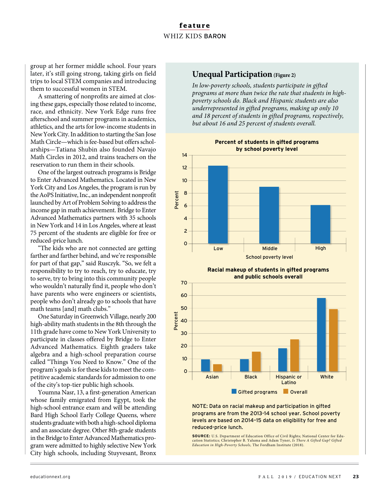group at her former middle school. Four years later, it's still going strong, taking girls on field trips to local STEM companies and introducing them to successful women in STEM.

A smattering of nonprofits are aimed at closing these gaps, especially those related to income, race, and ethnicity. New York Edge runs free afterschool and summer programs in academics, athletics, and the arts for low-income students in New York City. In addition to starting the San Jose Math Circle—which is fee-based but offers scholarships—Tatiana Shubin also founded Navajo Math Circles in 2012, and trains teachers on the reservation to run them in their schools.

One of the largest outreach programs is Bridge to Enter Advanced Mathematics. Located in New York City and Los Angeles, the program is run by the AoPS Initiative, Inc., an independent nonprofit launched by Art of Problem Solving to address the income gap in math achievement. Bridge to Enter Advanced Mathematics partners with 35 schools in New York and 14 in Los Angeles, where at least 75 percent of the students are eligible for free or reduced-price lunch.

"The kids who are not connected are getting farther and farther behind, and we're responsible for part of that gap," said Rusczyk. "So, we felt a responsibility to try to reach, try to educate, try to serve, try to bring into this community people who wouldn't naturally find it, people who don't have parents who were engineers or scientists, people who don't already go to schools that have math teams [and] math clubs."

One Saturday in Greenwich Village, nearly 200 high-ability math students in the 8th through the 11th grade have come to New York University to participate in classes offered by Bridge to Enter Advanced Mathematics. Eighth graders take algebra and a high-school preparation course called "Things You Need to Know." One of the program's goals is for these kids to meet the competitive academic standards for admission to one of the city's top-tier public high schools.

Youmna Nasr, 13, a first-generation American whose family emigrated from Egypt, took the high-school entrance exam and will be attending Bard High School Early College Queens, where students graduate with both a high-school diploma and an associate degree. Other 8th-grade students in the Bridge to Enter Advanced Mathematics program were admitted to highly selective New York City high schools, including Stuyvesant, Bronx

# **Unequal Participation** (Figure 2)

*In low-poverty schools, students participate in gifted programs at more than twice the rate that students in highpoverty schools do. Black and Hispanic students are also underrepresented in gifted programs, making up only 10 and 18 percent of students in gifted programs, respectively, but about 16 and 25 percent of students overall.* 



**Racial makeup of students in gifted programs and public schools overall**



#### NOTE: Data on racial makeup and participation in gifted programs are from the 2013-14 school year. School poverty levels are based on 2014–15 data on eligibility for free and reduced-price lunch.

**SOURCE:** U.S. Department of Education Office of Civil Rights; National Center for Education Statistics; Christopher B. Yaluma and Adam Tyner, *Is There A Gifted Gap? Gifted Education in High-Poverty Schools,* The Fordham Institute (2018).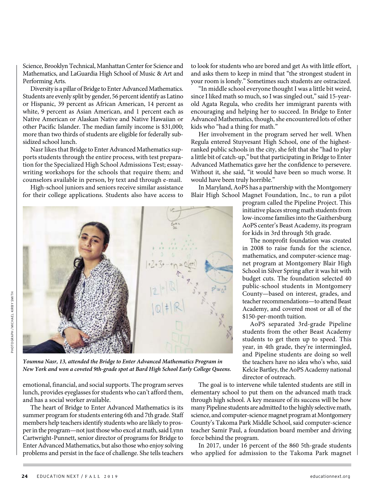Science, Brooklyn Technical, Manhattan Center for Science and Mathematics, and LaGuardia High School of Music & Art and Performing Arts.

Diversity is a pillar of Bridge to Enter Advanced Mathematics. Students are evenly split by gender, 56 percent identify as Latino or Hispanic, 39 percent as African American, 14 percent as white, 9 percent as Asian American, and 1 percent each as Native American or Alaskan Native and Native Hawaiian or other Pacific Islander. The median family income is \$31,000; more than two thirds of students are eligible for federally subsidized school lunch.

Nasr likes that Bridge to Enter Advanced Mathematics supports students through the entire process, with test preparation for the Specialized High School Admissions Test; essaywriting workshops for the schools that require them; and counselors available in person, by text and through e-mail.

High-school juniors and seniors receive similar assistance for their college applications. Students also have access to



*Youmna Nasr, 13, attended the Bridge to Enter Advanced Mathematics Program in New York and won a coveted 9th-grade spot at Bard High School Early College Queens.*

emotional, financial, and social supports. The program serves lunch, provides eyeglasses for students who can't afford them, and has a social worker available.

The heart of Bridge to Enter Advanced Mathematics is its summer program for students entering 6th and 7th grade. Staff members help teachers identify students who are likely to prosper in the program—not just those who excel at math, said Lynn Cartwright-Punnett, senior director of programs for Bridge to Enter Advanced Mathematics, but also those who enjoy solving problems and persist in the face of challenge. She tells teachers

to look for students who are bored and get As with little effort, and asks them to keep in mind that "the strongest student in your room is lonely." Sometimes such students are ostracized.

"In middle school everyone thought I was a little bit weird, since I liked math so much, so I was singled out," said 15-yearold Agata Regula, who credits her immigrant parents with encouraging and helping her to succeed. In Bridge to Enter Advanced Mathematics, though, she encountered lots of other kids who "had a thing for math."

Her involvement in the program served her well. When Regula entered Stuyvesant High School, one of the highestranked public schools in the city, she felt that she "had to play a little bit of catch-up," but that participating in Bridge to Enter Advanced Mathematics gave her the confidence to persevere. Without it, she said, "it would have been so much worse. It would have been truly horrible."

In Maryland, AoPS has a partnership with the Montgomery Blair High School Magnet Foundation, Inc., to run a pilot

> program called the Pipeline Project. This initiative places strong math students from low-income families into the Gaithersburg AoPS center's Beast Academy, its program for kids in 3rd through 5th grade.

> The nonprofit foundation was created in 2008 to raise funds for the science, mathematics, and computer-science magnet program at Montgomery Blair High School in Silver Spring after it was hit with budget cuts. The foundation selected 40 public-school students in Montgomery County—based on interest, grades, and teacher recommendations—to attend Beast Academy, and covered most or all of the \$150-per-month tuition.

> AoPS separated 3rd-grade Pipeline students from the other Beast Academy students to get them up to speed. This year, in 4th grade, they're intermingled, and Pipeline students are doing so well the teachers have no idea who's who, said Kelcie Bartley, the AoPS Academy national director of outreach.

The goal is to intervene while talented students are still in elementary school to put them on the advanced math track through high school. A key measure of its success will be how many Pipeline students are admitted to the highly selective math, science, and computer-science magnet program at Montgomery County's Takoma Park Middle School, said computer-science teacher Samir Paul, a foundation board member and driving force behind the program.

In 2017, under 16 percent of the 860 5th-grade students who applied for admission to the Takoma Park magnet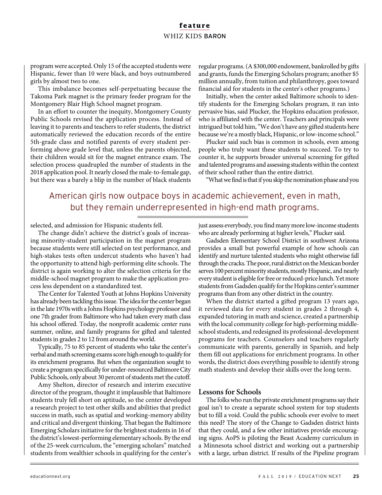program were accepted. Only 15 of the accepted students were Hispanic, fewer than 10 were black, and boys outnumbered girls by almost two to one.

This imbalance becomes self-perpetuating because the Takoma Park magnet is the primary feeder program for the Montgomery Blair High School magnet program.

In an effort to counter the inequity, Montgomery County Public Schools revised the application process. Instead of leaving it to parents and teachers to refer students, the district automatically reviewed the education records of the entire 5th-grade class and notified parents of every student performing above grade level that, unless the parents objected, their children would sit for the magnet entrance exam. The selection process quadrupled the number of students in the 2018 application pool. It nearly closed the male-to-female gap, but there was a barely a blip in the number of black students

regular programs. (A \$300,000 endowment, bankrolled by gifts and grants, funds the Emerging Scholars program; another \$5 million annually, from tuition and philanthropy, goes toward financial aid for students in the center's other programs.)

Initially, when the center asked Baltimore schools to identify students for the Emerging Scholars program, it ran into pervasive bias, said Plucker, the Hopkins education professor, who is affiliated with the center. Teachers and principals were intrigued but told him, "We don't have any gifted students here because we're a mostly black, Hispanic, or low-income school."

Plucker said such bias is common in schools, even among people who truly want these students to succeed. To try to counter it, he supports broader universal screening for gifted and talented programs and assessing students within the context of their school rather than the entire district.

"What we find is that if you skip the nomination phase and you

# American girls now outpace boys in academic achievement, even in math, but they remain underrepresented in high-end math programs.

selected, and admission for Hispanic students fell.

The change didn't achieve the district's goals of increasing minority-student participation in the magnet program because students were still selected on test performance, and high-stakes tests often undercut students who haven't had the opportunity to attend high-performing elite schools. The district is again working to alter the selection criteria for the middle-school magnet program to make the application process less dependent on a standardized test.

The Center for Talented Youth at Johns Hopkins University has already been tackling this issue. The idea for the center began in the late 1970s with a Johns Hopkins psychology professor and one 7th grader from Baltimore who had taken every math class his school offered. Today, the nonprofit academic center runs summer, online, and family programs for gifted and talented students in grades 2 to 12 from around the world.

Typically, 75 to 85 percent of students who take the center's verbal and math screening exams score high enough to qualify for its enrichment programs. But when the organization sought to create a program specifically for under-resourced Baltimore City Public Schools, only about 30 percent of students met the cutoff.

Amy Shelton, director of research and interim executive director of the program, thought it implausible that Baltimore students truly fell short on aptitude, so the center developed a research project to test other skills and abilities that predict success in math, such as spatial and working-memory ability and critical and divergent thinking. That began the Baltimore Emerging Scholars initiative for the brightest students in 16 of the district's lowest-performing elementary schools. By the end of the 25-week curriculum, the "emerging scholars" matched students from wealthier schools in qualifying for the center's

just assess everybody, you find many more low-income students who are already performing at higher levels," Plucker said.

Gadsden Elementary School District in southwest Arizona provides a small but powerful example of how schools can identify and nurture talented students who might otherwise fall through the cracks. The poor, rural district on the Mexican border serves 100 percent minority students, mostly Hispanic, and nearly every student is eligible for free or reduced-price lunch. Yet more students from Gadsden qualify for the Hopkins center's summer programs than from any other district in the country.

When the district started a gifted program 13 years ago, it reviewed data for every student in grades 2 through 4, expanded tutoring in math and science, created a partnership with the local community college for high-performing middleschool students, and redesigned its professional-development programs for teachers. Counselors and teachers regularly communicate with parents, generally in Spanish, and help them fill out applications for enrichment programs. In other words, the district does everything possible to identify strong math students and develop their skills over the long term.

#### **Lessons for Schools**

The folks who run the private enrichment programs say their goal isn't to create a separate school system for top students but to fill a void. Could the public schools ever evolve to meet this need? The story of the Change to Gadsden district hints that they could, and a few other initiatives provide encouraging signs. AoPS is piloting the Beast Academy curriculum in a Minnesota school district and working out a partnership with a large, urban district. If results of the Pipeline program